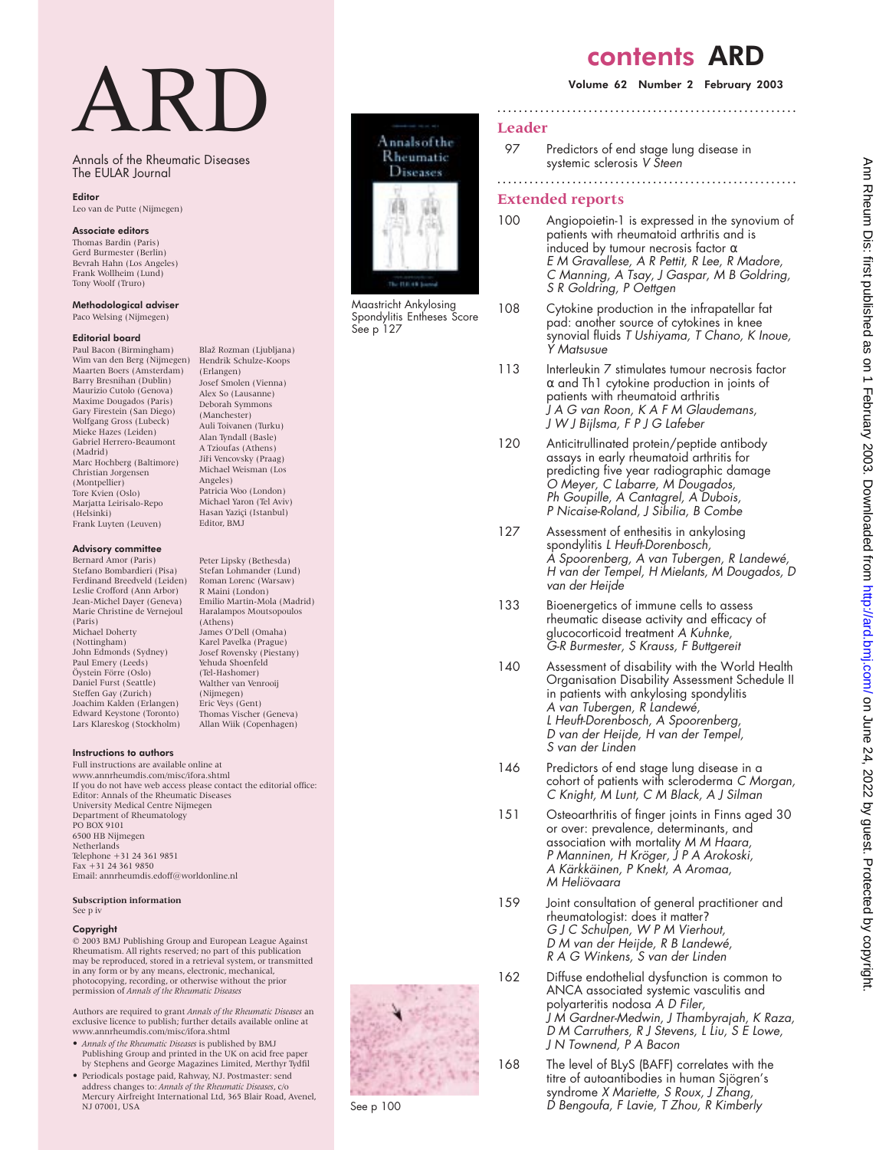## contents ARD

#### Volume 62 Number 2 February 2003

#### **Leader**

97 Predictors of end stage lung disease in systemic sclerosis V Steen

**........................................................**

**........................................................**

### **Extended reports**

- 100 Angiopoietin-1 is expressed in the synovium of patients with rheumatoid arthritis and is induced by tumour necrosis factor  $\alpha$ E M Gravallese, A R Pettit, R Lee, R Madore, C Manning, A Tsay, J Gaspar, M <sup>B</sup> Goldring, S R Goldring, P Oettgen
- 108 Cytokine production in the infrapatellar fat pad: another source of cytokines in knee synovial fluids <sup>T</sup> Ushiyama, <sup>T</sup> Chano, <sup>K</sup> Inoue, Y Matsusue
- 113 Interleukin 7 stimulates tumour necrosis factor  $\alpha$  and Th1 cytokine production in joints of patients with rheumatoid arthritis J A G van Roon, K A F M Glaudemans, J W J Bijlsma, F P J G Lafeber
- 120 Anticitrullinated protein/peptide antibody assays in early rheumatoid arthritis for predicting five year radiographic damage O Meyer, C Labarre, M Dougados, Ph Goupille, A Cantagrel, A Dubois, P Nicaise-Roland, J Sibilia, B Combe
- 127 Assessment of enthesitis in ankylosing spondylitis <sup>L</sup> Heuft-Dorenbosch, A Spoorenberg, A van Tubergen, <sup>R</sup> Landewé, <sup>H</sup> van der Tempel, <sup>H</sup> Mielants, M Dougados, <sup>D</sup> van der Heijde
- 133 Bioenergetics of immune cells to assess rheumatic disease activity and efficacy of glucocorticoid treatment A Kuhnke, G-R Burmester, S Krauss, F Buttgereit
- 140 Assessment of disability with the World Health Organisation Disability Assessment Schedule II in patients with ankylosing spondylitis A van Tubergen, <sup>R</sup> Landewé, <sup>L</sup> Heuft-Dorenbosch, A Spoorenberg, <sup>D</sup> van der Heijde, <sup>H</sup> van der Tempel, S van der Linden
- 146 Predictors of end stage lung disease in a cohort of patients with scleroderma C Morgan, C Knight, M Lunt, C M Black, A J Silman
- 151 Osteoarthritis of finger joints in Finns aged 30 or over: prevalence, determinants, and association with mortality M M Haara, P Manninen, H Kröger, J P A Arokoski, A Kärkkäinen, P Knekt, A Aromaa, M Heliövaara
- 159 Joint consultation of general practitioner and rheumatologist: does it matter? G J C Schulpen, W <sup>P</sup> M Vierhout, <sup>D</sup> M van der Heijde, <sup>R</sup> <sup>B</sup> Landewé, R A G Winkens, S van der Linden
- 162 Diffuse endothelial dysfunction is common to ANCA associated systemic vasculitis and polyarteritis nodosa A D Filer, J M Gardner-Medwin, J Thambyrajah, <sup>K</sup> Raza, D M Carruthers, R J Stevens, L Liu, S E Lowe, J N Townend, P A Bacon
- 168 The level of BLyS (BAFF) correlates with the titre of autoantibodies in human Sjögren's syndrome <sup>X</sup> Mariette, S Roux, J Zhang, <sup>D</sup> Bengoufa, <sup>F</sup> Lavie, <sup>T</sup> Zhou, <sup>R</sup> Kimberly





Maastricht Ankylosing Spondylitis Entheses Score See p 127

# ARD

Annals of the Rheumatic Diseases The EULAR Journal

> Blaž Rozman (Ljubljana) Hendrik Schulze-Koops (Erlangen) Josef Smolen (Vienna) Alex So (Lausanne) Deborah Symmons (Manchester) Auli Toivanen (Turku) Alan Tyndall (Basle) A Tzioufas (Athens) Jiři Vencovsky (Praag) Michael Weisman (Los Angeles) Patricia Woo (London) Michael Yaron (Tel Aviv) Hasan Yaziçi (Istanbul) Editor, BMJ

Peter Lipsky (Bethesda) Stefan Lohmander (Lund) Roman Lorenc (Warsaw) R Maini (London) Emilio Martin-Mola (Madrid) Haralampos Moutsopoulos

Eric Veys (Gent) Thomas Vischer (Geneva) Allan Wiik (Copenhagen)

(Athens) James O'Dell (Omaha) Karel Pavelka (Prague) Josef Rovensky (Piestany) Yehuda Shoenfeld (Tel-Hashomer) Walther van Venrooij (Nijmegen)

#### Editor

Leo van de Putte (Nijmegen)

#### Associate editors

Thomas Bardin (Paris) Gerd Burmester (Berlin) Bevrah Hahn (Los Angeles) Frank Wollheim (Lund) Tony Woolf (Truro)

#### Methodological adviser

Paco Welsing (Nijmegen)

#### Editorial board

Paul Bacon (Birmingham) Wim van den Berg (Nijmegen) Maarten Boers (Amsterdam) Barry Bresnihan (Dublin) Maurizio Cutolo (Genova) Maxime Dougados (Paris) Gary Firestein (San Diego) Wolfgang Gross (Lubeck) Mieke Hazes (Leiden) Gabriel Herrero-Beaumont (Madrid) Marc Hochberg (Baltimore) Christian Jorgensen (Montpellier) Tore Kvien (Oslo) Marjatta Leirisalo-Repo (Helsinki) Frank Luyten (Leuven)

#### Advisory committee

Bernard Amor (Paris) Stefano Bombardieri (Pisa) Ferdinand Breedveld (Leiden) Leslie Crofford (Ann Arbor) Jean-Michel Dayer (Geneva) Marie Christine de Vernejoul (Paris) Michael Doherty (Nottingham) John Edmonds (Sydney) Paul Emery (Leeds) Öystein Förre (Oslo) Daniel Furst (Seattle) Steffen Gay (Zurich) Joachim Kalden (Erlangen) Edward Keystone (Toronto) Lars Klareskog (Stockholm)

#### Instructions to authors

Full instructions are available online at www.annrheumdis.com/misc/ifora.shtml If you do not have web access please contact the editorial office: Editor: Annals of the Rheumatic Diseases University Medical Centre Nijmegen Department of Rheumatology PO BOX 9101 6500 HB Nijmegen **Netherlands** Telephone +31 24 361 9851 Fax +31 24 361 9850 Email: annrheumdis.edoff@worldonline.nl

#### **Subscription information** See p iv

#### Copyright

© 2003 BMJ Publishing Group and European League Against Rheumatism. All rights reserved; no part of this publication may be reproduced, stored in a retrieval system, or transmitted in any form or by any means, electronic, mechanical, photocopying, recording, or otherwise without the prior permission of *Annals of the Rheumatic Diseases*

Authors are required to grant *Annals of the Rheumatic Diseases* an exclusive licence to publish; further details available online at www.annrheumdis.com/misc/ifora.shtml

- *Annals of the Rheumatic Diseases* is published by BMJ Publishing Group and printed in the UK on acid free paper by Stephens and George Magazines Limited, Merthyr Tydfil
- Periodicals postage paid, Rahway, NJ. Postmaster: send address changes to: *Annals of the Rheumatic Diseases*, c/o Mercury Airfreight International Ltd, 365 Blair Road, Avenel, NJ 07001, USA



See p 100